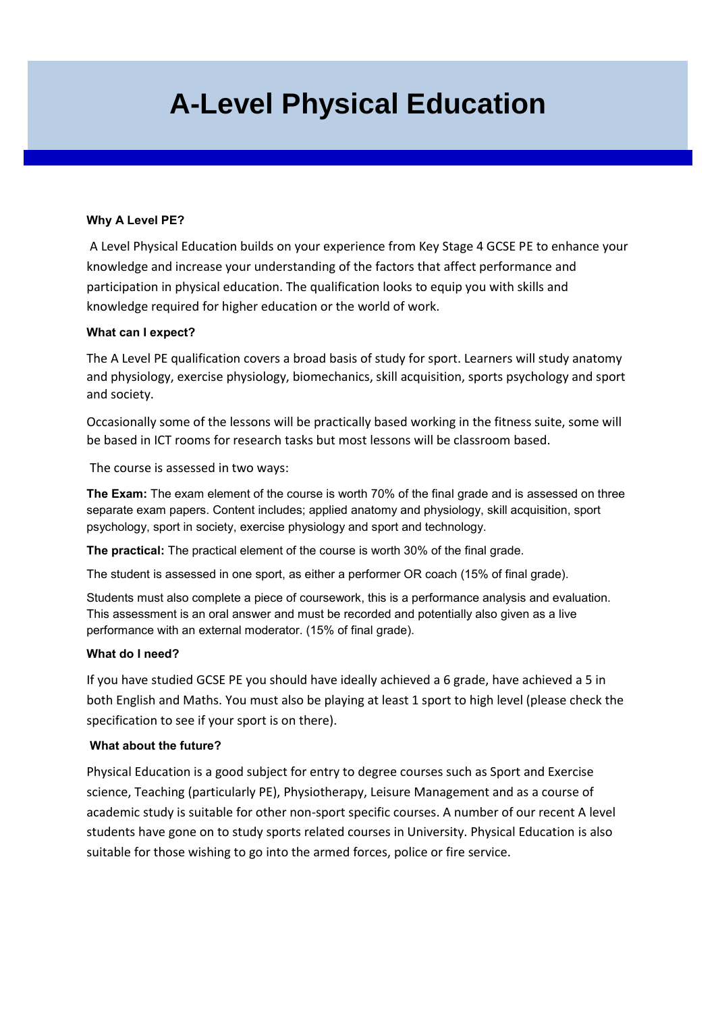# **A-Level Physical Education**

## **Why A Level PE?**

A Level Physical Education builds on your experience from Key Stage 4 GCSE PE to enhance your knowledge and increase your understanding of the factors that affect performance and participation in physical education. The qualification looks to equip you with skills and knowledge required for higher education or the world of work.

### **What can I expect?**

The A Level PE qualification covers a broad basis of study for sport. Learners will study anatomy and physiology, exercise physiology, biomechanics, skill acquisition, sports psychology and sport and society.

Occasionally some of the lessons will be practically based working in the fitness suite, some will be based in ICT rooms for research tasks but most lessons will be classroom based.

The course is assessed in two ways:

**The Exam:** The exam element of the course is worth 70% of the final grade and is assessed on three separate exam papers. Content includes; applied anatomy and physiology, skill acquisition, sport psychology, sport in society, exercise physiology and sport and technology.

**The practical:** The practical element of the course is worth 30% of the final grade.

The student is assessed in one sport, as either a performer OR coach (15% of final grade).

Students must also complete a piece of coursework, this is a performance analysis and evaluation. This assessment is an oral answer and must be recorded and potentially also given as a live performance with an external moderator. (15% of final grade).

### **What do I need?**

If you have studied GCSE PE you should have ideally achieved a 6 grade, have achieved a 5 in both English and Maths. You must also be playing at least 1 sport to high level (please check the specification to see if your sport is on there).

### **What about the future?**

Physical Education is a good subject for entry to degree courses such as Sport and Exercise science, Teaching (particularly PE), Physiotherapy, Leisure Management and as a course of academic study is suitable for other non-sport specific courses. A number of our recent A level students have gone on to study sports related courses in University. Physical Education is also suitable for those wishing to go into the armed forces, police or fire service.